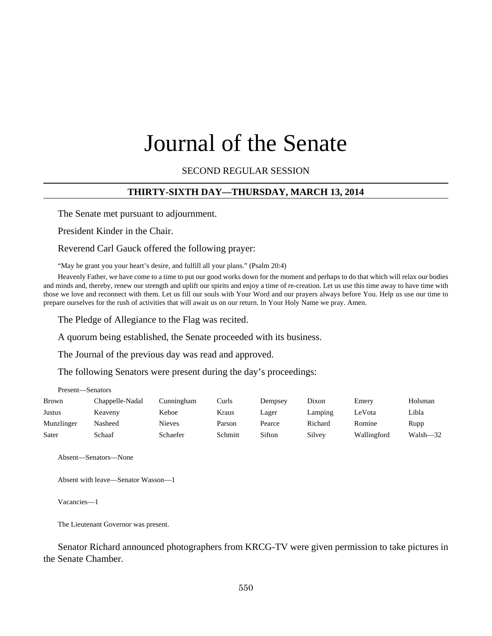# Journal of the Senate

SECOND REGULAR SESSION

# **THIRTY-SIXTH DAY—THURSDAY, MARCH 13, 2014**

The Senate met pursuant to adjournment.

President Kinder in the Chair.

Reverend Carl Gauck offered the following prayer:

"May he grant you your heart's desire, and fulfill all your plans." (Psalm 20:4)

Heavenly Father, we have come to a time to put our good works down for the moment and perhaps to do that which will relax our bodies and minds and, thereby, renew our strength and uplift our spirits and enjoy a time of re-creation. Let us use this time away to have time with those we love and reconnect with them. Let us fill our souls with Your Word and our prayers always before You. Help us use our time to prepare ourselves for the rush of activities that will await us on our return. In Your Holy Name we pray. Amen.

The Pledge of Allegiance to the Flag was recited.

A quorum being established, the Senate proceeded with its business.

The Journal of the previous day was read and approved.

The following Senators were present during the day's proceedings:

| Present—Senators |                 |               |         |         |         |             |          |
|------------------|-----------------|---------------|---------|---------|---------|-------------|----------|
| <b>Brown</b>     | Chappelle-Nadal | Cunningham    | Curls   | Dempsey | Dixon   | Emery       | Holsman  |
| Justus           | Keaveny         | Kehoe         | Kraus   | Lager   | Lamping | LeVota      | Libla    |
| Munzlinger       | Nasheed         | <b>Nieves</b> | Parson  | Pearce  | Richard | Romine      | Rupp     |
| Sater            | Schaaf          | Schaefer      | Schmitt | Sifton  | Silvey  | Wallingford | Walsh-32 |

Absent—Senators—None

Absent with leave—Senator Wasson—1

Vacancies—1

The Lieutenant Governor was present.

Senator Richard announced photographers from KRCG-TV were given permission to take pictures in the Senate Chamber.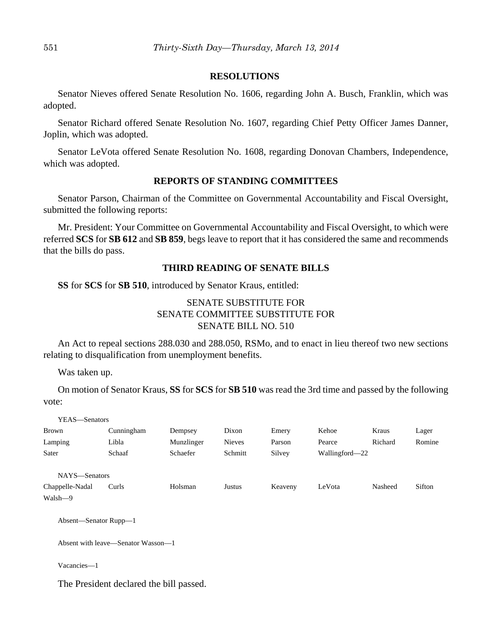## **RESOLUTIONS**

Senator Nieves offered Senate Resolution No. 1606, regarding John A. Busch, Franklin, which was adopted.

Senator Richard offered Senate Resolution No. 1607, regarding Chief Petty Officer James Danner, Joplin, which was adopted.

Senator LeVota offered Senate Resolution No. 1608, regarding Donovan Chambers, Independence, which was adopted.

# **REPORTS OF STANDING COMMITTEES**

Senator Parson, Chairman of the Committee on Governmental Accountability and Fiscal Oversight, submitted the following reports:

Mr. President: Your Committee on Governmental Accountability and Fiscal Oversight, to which were referred **SCS** for **SB 612** and **SB 859**, begs leave to report that it has considered the same and recommends that the bills do pass.

# **THIRD READING OF SENATE BILLS**

**SS** for **SCS** for **SB 510**, introduced by Senator Kraus, entitled:

# SENATE SUBSTITUTE FOR SENATE COMMITTEE SUBSTITUTE FOR SENATE BILL NO. 510

An Act to repeal sections 288.030 and 288.050, RSMo, and to enact in lieu thereof two new sections relating to disqualification from unemployment benefits.

Was taken up.

On motion of Senator Kraus, **SS** for **SCS** for **SB 510** was read the 3rd time and passed by the following vote:

| YEAS—Senators   |            |            |               |         |                |         |        |
|-----------------|------------|------------|---------------|---------|----------------|---------|--------|
| <b>Brown</b>    | Cunningham | Dempsey    | Dixon         | Emery   | Kehoe          | Kraus   | Lager  |
| Lamping         | Libla      | Munzlinger | <b>Nieves</b> | Parson  | Pearce         | Richard | Romine |
| Sater           | Schaaf     | Schaefer   | Schmitt       | Silvey  | Wallingford—22 |         |        |
|                 |            |            |               |         |                |         |        |
| NAYS—Senators   |            |            |               |         |                |         |        |
| Chappelle-Nadal | Curls      | Holsman    | Justus        | Keaveny | LeVota         | Nasheed | Sifton |
| Walsh-9         |            |            |               |         |                |         |        |

Absent—Senator Rupp—1

Absent with leave—Senator Wasson—1

Vacancies—1

The President declared the bill passed.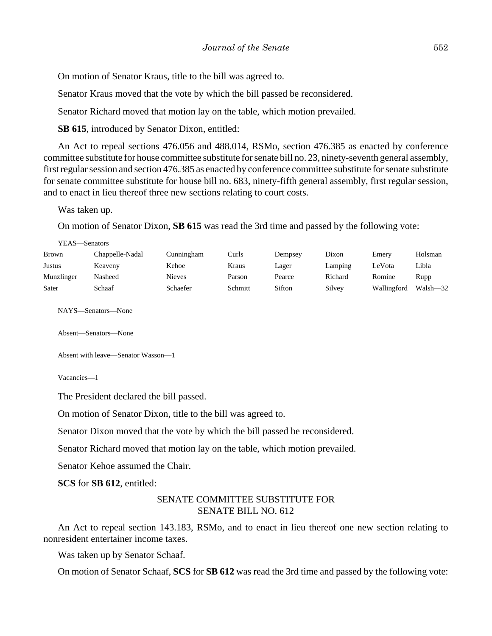On motion of Senator Kraus, title to the bill was agreed to.

Senator Kraus moved that the vote by which the bill passed be reconsidered.

Senator Richard moved that motion lay on the table, which motion prevailed.

**SB 615**, introduced by Senator Dixon, entitled:

An Act to repeal sections 476.056 and 488.014, RSMo, section 476.385 as enacted by conference committee substitute for house committee substitute for senate bill no. 23, ninety-seventh general assembly, first regular session and section 476.385 as enacted by conference committee substitute for senate substitute for senate committee substitute for house bill no. 683, ninety-fifth general assembly, first regular session, and to enact in lieu thereof three new sections relating to court costs.

Was taken up.

On motion of Senator Dixon, **SB 615** was read the 3rd time and passed by the following vote:

| YEAS—Senators |                 |               |         |         |         |             |          |
|---------------|-----------------|---------------|---------|---------|---------|-------------|----------|
| <b>Brown</b>  | Chappelle-Nadal | Cunningham    | Curls   | Dempsey | Dixon   | Emery       | Holsman  |
| Justus        | Keaveny         | Kehoe         | Kraus   | Lager   | Lamping | LeVota      | Libla    |
| Munzlinger    | Nasheed         | <b>Nieves</b> | Parson  | Pearce  | Richard | Romine      | Rupp     |
| Sater         | Schaaf          | Schaefer      | Schmitt | Sifton  | Silvey  | Wallingford | Walsh-32 |

NAYS—Senators—None

Absent—Senators—None

Absent with leave—Senator Wasson—1

Vacancies—1

The President declared the bill passed.

On motion of Senator Dixon, title to the bill was agreed to.

Senator Dixon moved that the vote by which the bill passed be reconsidered.

Senator Richard moved that motion lay on the table, which motion prevailed.

Senator Kehoe assumed the Chair.

**SCS** for **SB 612**, entitled:

# SENATE COMMITTEE SUBSTITUTE FOR SENATE BILL NO. 612

An Act to repeal section 143.183, RSMo, and to enact in lieu thereof one new section relating to nonresident entertainer income taxes.

Was taken up by Senator Schaaf.

On motion of Senator Schaaf, **SCS** for **SB 612** was read the 3rd time and passed by the following vote: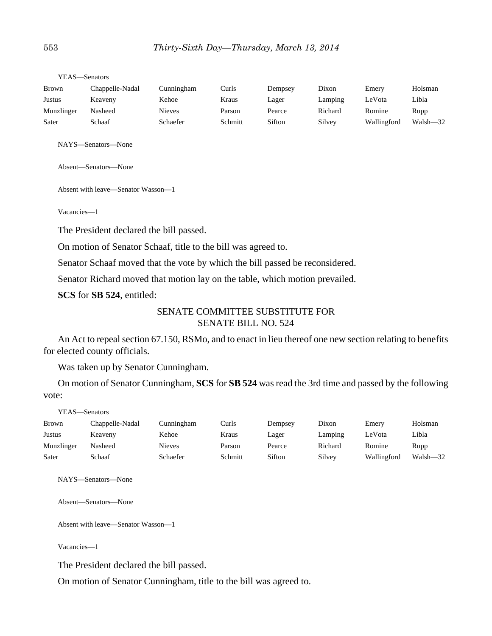| Brown      | Chappelle-Nadal | Cunningham    | Curls   | Dempsey | Dixon   | Emery       | Holsman  |
|------------|-----------------|---------------|---------|---------|---------|-------------|----------|
| Justus     | Keaveny         | Kehoe         | Kraus   | Lager   | Lamping | LeVota      | Libla    |
| Munzlinger | Nasheed         | <b>Nieves</b> | Parson  | Pearce  | Richard | Romine      | Rupp     |
| Sater      | Schaaf          | Schaefer      | Schmitt | Sifton  | Silvey  | Wallingford | Walsh-32 |

YEAS—Senators

NAYS—Senators—None

Absent—Senators—None

Absent with leave—Senator Wasson—1

Vacancies—1

The President declared the bill passed.

On motion of Senator Schaaf, title to the bill was agreed to.

Senator Schaaf moved that the vote by which the bill passed be reconsidered.

Senator Richard moved that motion lay on the table, which motion prevailed.

**SCS** for **SB 524**, entitled:

# SENATE COMMITTEE SUBSTITUTE FOR SENATE BILL NO. 524

An Act to repeal section 67.150, RSMo, and to enact in lieu thereof one new section relating to benefits for elected county officials.

Was taken up by Senator Cunningham.

On motion of Senator Cunningham, **SCS** for **SB 524** was read the 3rd time and passed by the following vote:

| YEAS—Senators |                 |               |         |         |         |             |          |
|---------------|-----------------|---------------|---------|---------|---------|-------------|----------|
| <b>Brown</b>  | Chappelle-Nadal | Cunningham    | Curls   | Dempsey | Dixon   | Emery       | Holsman  |
| Justus        | Keaveny         | Kehoe         | Kraus   | Lager   | Lamping | LeVota      | Libla    |
| Munzlinger    | Nasheed         | <b>Nieves</b> | Parson  | Pearce  | Richard | Romine      | Rupp     |
| Sater         | Schaaf          | Schaefer      | Schmitt | Sifton  | Silvey  | Wallingford | Walsh-32 |

NAYS—Senators—None

Absent—Senators—None

Absent with leave—Senator Wasson—1

Vacancies—1

The President declared the bill passed.

On motion of Senator Cunningham, title to the bill was agreed to.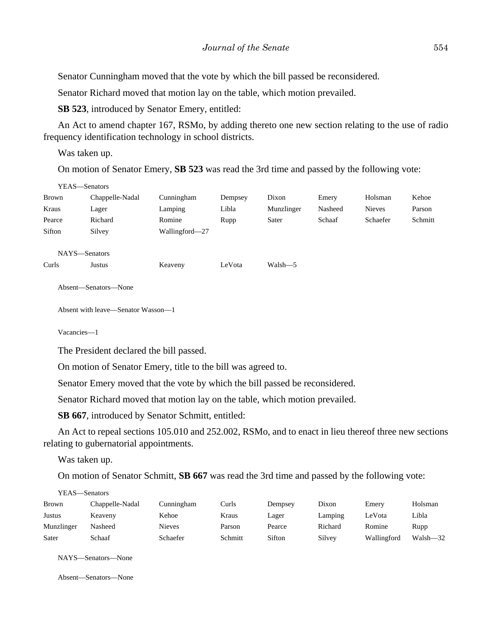Senator Cunningham moved that the vote by which the bill passed be reconsidered.

Senator Richard moved that motion lay on the table, which motion prevailed.

**SB 523**, introduced by Senator Emery, entitled:

An Act to amend chapter 167, RSMo, by adding thereto one new section relating to the use of radio frequency identification technology in school districts.

Was taken up.

On motion of Senator Emery, **SB 523** was read the 3rd time and passed by the following vote:

| YEAS-Senators |                                    |                |         |            |         |               |         |
|---------------|------------------------------------|----------------|---------|------------|---------|---------------|---------|
| Brown         | Chappelle-Nadal                    | Cunningham     | Dempsey | Dixon      | Emery   | Holsman       | Kehoe   |
| Kraus         | Lager                              | Lamping        | Libla   | Munzlinger | Nasheed | <b>Nieves</b> | Parson  |
| Pearce        | Richard                            | Romine         | Rupp    | Sater      | Schaaf  | Schaefer      | Schmitt |
| Sifton        | Silvey                             | Wallingford-27 |         |            |         |               |         |
| NAYS-Senators |                                    |                |         |            |         |               |         |
| Curls         | Justus                             | Keaveny        | LeVota  | Walsh-5    |         |               |         |
|               | Absent—Senators—None               |                |         |            |         |               |         |
|               | Absent with leave—Senator Wasson—1 |                |         |            |         |               |         |

Vacancies—1

The President declared the bill passed.

On motion of Senator Emery, title to the bill was agreed to.

Senator Emery moved that the vote by which the bill passed be reconsidered.

Senator Richard moved that motion lay on the table, which motion prevailed.

**SB 667**, introduced by Senator Schmitt, entitled:

An Act to repeal sections 105.010 and 252.002, RSMo, and to enact in lieu thereof three new sections relating to gubernatorial appointments.

Was taken up.

 $YFAS = S \cup S$ 

On motion of Senator Schmitt, **SB 667** was read the 3rd time and passed by the following vote:

| r EAS—Senators  |               |         |         |         |             |          |
|-----------------|---------------|---------|---------|---------|-------------|----------|
| Chappelle-Nadal | Cunningham    | Curls   | Dempsey | Dixon   | Emery       | Holsman  |
| Keaveny         | Kehoe         | Kraus   | Lager   | Lamping | LeVota      | Libla    |
| Nasheed         | <b>Nieves</b> | Parson  | Pearce  | Richard | Romine      | Rupp     |
| Schaaf          | Schaefer      | Schmitt | Sifton  | Silvey  | Wallingford | Walsh-32 |
|                 |               |         |         |         |             |          |

NAYS—Senators—None

Absent—Senators—None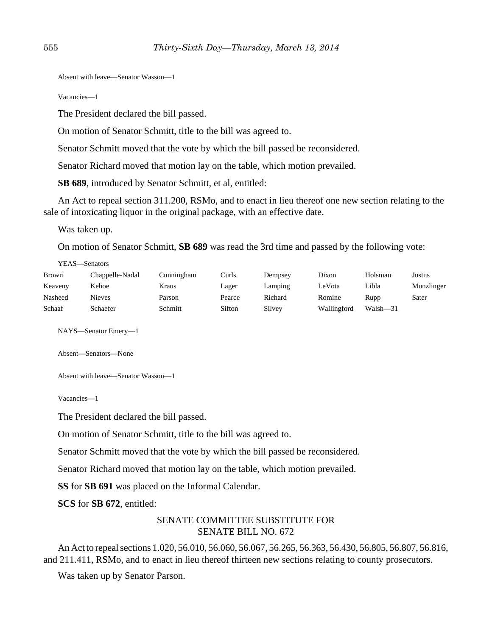Absent with leave—Senator Wasson—1

Vacancies—1

The President declared the bill passed.

On motion of Senator Schmitt, title to the bill was agreed to.

Senator Schmitt moved that the vote by which the bill passed be reconsidered.

Senator Richard moved that motion lay on the table, which motion prevailed.

**SB 689**, introduced by Senator Schmitt, et al, entitled:

An Act to repeal section 311.200, RSMo, and to enact in lieu thereof one new section relating to the sale of intoxicating liquor in the original package, with an effective date.

Was taken up.

YEAS—Senators

On motion of Senator Schmitt, **SB 689** was read the 3rd time and passed by the following vote:

|         | r EAS—Senators  |            |       |         |        |         |        |
|---------|-----------------|------------|-------|---------|--------|---------|--------|
| Brown   | Chappelle-Nadal | Cunningham | Curls | Dempsey | Dixon  | Holsman | Justus |
| Keaveny | Kehoe           | Kraus      | Lager | Lamping | LeVota | Libla   | Munz   |
|         |                 |            |       |         |        |         |        |

Keaveny Kehoe Kraus Lager Lamping LeVota Libla Munzlinger Nasheed Nieves Parson Pearce Richard Romine Rupp Sater Schaaf Schaefer Schmitt Sifton Silvey Wallingford Walsh-31

NAYS—Senator Emery—1

Absent—Senators—None

Absent with leave—Senator Wasson—1

Vacancies—1

The President declared the bill passed.

On motion of Senator Schmitt, title to the bill was agreed to.

Senator Schmitt moved that the vote by which the bill passed be reconsidered.

Senator Richard moved that motion lay on the table, which motion prevailed.

**SS** for **SB 691** was placed on the Informal Calendar.

**SCS** for **SB 672**, entitled:

# SENATE COMMITTEE SUBSTITUTE FOR SENATE BILL NO. 672

An Act to repeal sections 1.020, 56.010, 56.060, 56.067, 56.265, 56.363, 56.430, 56.805, 56.807, 56.816, and 211.411, RSMo, and to enact in lieu thereof thirteen new sections relating to county prosecutors.

Was taken up by Senator Parson.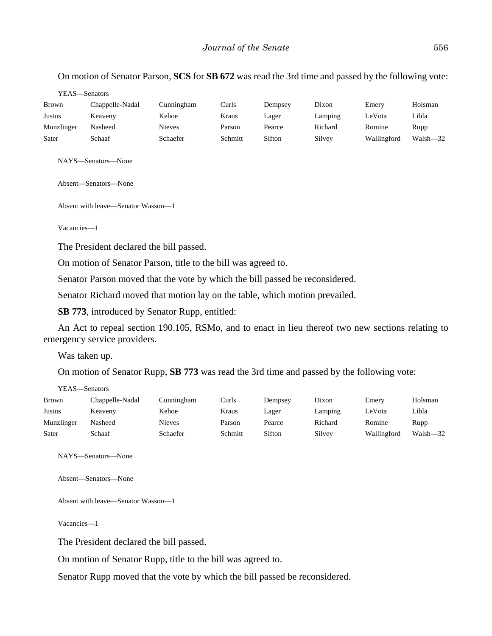# On motion of Senator Parson, **SCS** for **SB 672** was read the 3rd time and passed by the following vote:

YEAS—Senators

| <b>Brown</b> | Chappelle-Nadal | Cunningham    | Curls   | Dempsey | Dixon   | Emery       | Holsman  |
|--------------|-----------------|---------------|---------|---------|---------|-------------|----------|
| Justus       | Keaveny         | Kehoe         | Kraus   | Lager   | Lamping | LeVota      | Libla    |
| Munzlinger   | Nasheed         | <b>Nieves</b> | Parson  | Pearce  | Richard | Romine      | Rupp     |
| Sater        | Schaaf          | Schaefer      | Schmitt | Sifton  | Silvey  | Wallingford | Walsh-32 |

NAYS—Senators—None

Absent—Senators—None

Absent with leave—Senator Wasson—1

Vacancies—1

The President declared the bill passed.

On motion of Senator Parson, title to the bill was agreed to.

Senator Parson moved that the vote by which the bill passed be reconsidered.

Senator Richard moved that motion lay on the table, which motion prevailed.

**SB 773**, introduced by Senator Rupp, entitled:

An Act to repeal section 190.105, RSMo, and to enact in lieu thereof two new sections relating to emergency service providers.

Was taken up.

On motion of Senator Rupp, **SB 773** was read the 3rd time and passed by the following vote:

| YEAS—Senators |                 |            |         |         |         |             |              |
|---------------|-----------------|------------|---------|---------|---------|-------------|--------------|
| Brown         | Chappelle-Nadal | Cunningham | Curls   | Dempsey | Dixon   | Emery       | Holsman      |
| <b>Justus</b> | Keaveny         | Kehoe      | Kraus   | Lager   | Lamping | LeVota      | Libla        |
| Munzlinger    | Nasheed         | Nieves     | Parson  | Pearce  | Richard | Romine      | Rupp         |
| Sater         | Schaaf          | Schaefer   | Schmitt | Sifton  | Silvey  | Wallingford | $Walsh - 32$ |

NAYS—Senators—None

Absent—Senators—None

Absent with leave—Senator Wasson—1

Vacancies—1

The President declared the bill passed.

On motion of Senator Rupp, title to the bill was agreed to.

Senator Rupp moved that the vote by which the bill passed be reconsidered.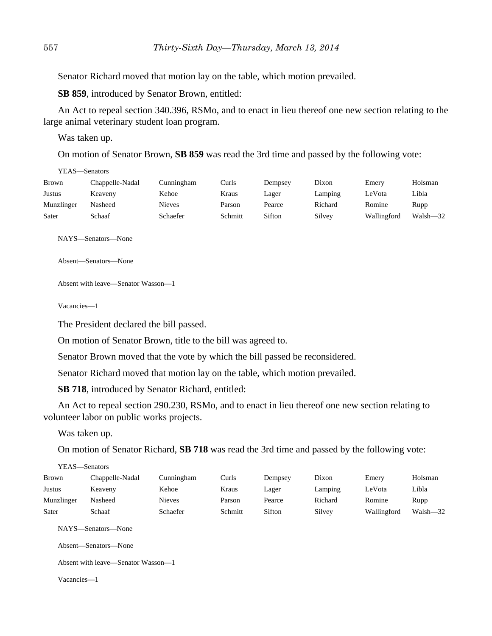Senator Richard moved that motion lay on the table, which motion prevailed.

**SB 859**, introduced by Senator Brown, entitled:

An Act to repeal section 340.396, RSMo, and to enact in lieu thereof one new section relating to the large animal veterinary student loan program.

Was taken up.

On motion of Senator Brown, **SB 859** was read the 3rd time and passed by the following vote:

| YEAS—Senators |                 |               |         |         |         |             |          |
|---------------|-----------------|---------------|---------|---------|---------|-------------|----------|
| <b>Brown</b>  | Chappelle-Nadal | Cunningham    | Curls   | Dempsey | Dixon   | Emery       | Holsman  |
| <b>Justus</b> | Keaveny         | Kehoe         | Kraus   | Lager   | Lamping | LeVota      | Libla    |
| Munzlinger    | Nasheed         | <b>Nieves</b> | Parson  | Pearce  | Richard | Romine      | Rupp     |
| Sater         | Schaaf          | Schaefer      | Schmitt | Sifton  | Silvey  | Wallingford | Walsh-32 |

NAYS—Senators—None

Absent—Senators—None

Absent with leave—Senator Wasson—1

Vacancies—1

The President declared the bill passed.

On motion of Senator Brown, title to the bill was agreed to.

Senator Brown moved that the vote by which the bill passed be reconsidered.

Senator Richard moved that motion lay on the table, which motion prevailed.

**SB 718**, introduced by Senator Richard, entitled:

An Act to repeal section 290.230, RSMo, and to enact in lieu thereof one new section relating to volunteer labor on public works projects.

Was taken up.

On motion of Senator Richard, **SB 718** was read the 3rd time and passed by the following vote:

|              | YEAS—Senators        |               |         |         |         |             |          |
|--------------|----------------------|---------------|---------|---------|---------|-------------|----------|
| <b>Brown</b> | Chappelle-Nadal      | Cunningham    | Curls   | Dempsey | Dixon   | Emery       | Holsman  |
| Justus       | Keaveny              | Kehoe         | Kraus   | Lager   | Lamping | LeVota      | Libla    |
| Munzlinger   | Nasheed              | <b>Nieves</b> | Parson  | Pearce  | Richard | Romine      | Rupp     |
| Sater        | Schaaf               | Schaefer      | Schmitt | Sifton  | Silvey  | Wallingford | Walsh-32 |
|              | NAYS—Senators—None   |               |         |         |         |             |          |
|              | Absent—Senators—None |               |         |         |         |             |          |

Absent with leave—Senator Wasson—1

Vacancies—1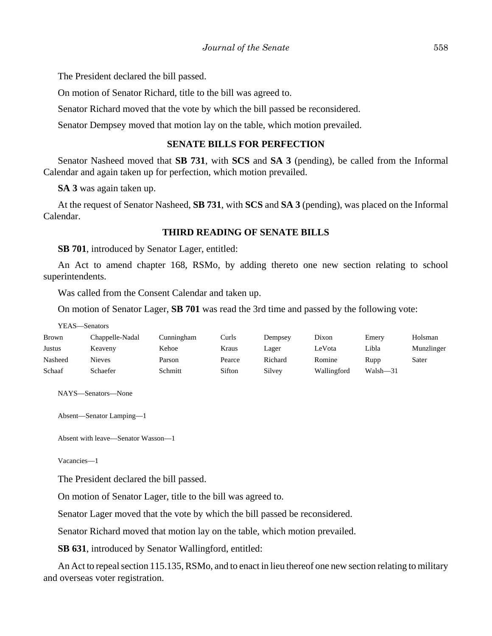The President declared the bill passed.

On motion of Senator Richard, title to the bill was agreed to.

Senator Richard moved that the vote by which the bill passed be reconsidered.

Senator Dempsey moved that motion lay on the table, which motion prevailed.

#### **SENATE BILLS FOR PERFECTION**

Senator Nasheed moved that **SB 731**, with **SCS** and **SA 3** (pending), be called from the Informal Calendar and again taken up for perfection, which motion prevailed.

**SA 3** was again taken up.

At the request of Senator Nasheed, **SB 731**, with **SCS** and **SA 3** (pending), was placed on the Informal Calendar.

#### **THIRD READING OF SENATE BILLS**

**SB 701**, introduced by Senator Lager, entitled:

An Act to amend chapter 168, RSMo, by adding thereto one new section relating to school superintendents.

Was called from the Consent Calendar and taken up.

On motion of Senator Lager, **SB 701** was read the 3rd time and passed by the following vote:

YEAS—Senators

| <b>Brown</b> | Chappelle-Nadal | Cunningham | Curls  | Dempsey | Dixon       | Emery    | Holsman    |
|--------------|-----------------|------------|--------|---------|-------------|----------|------------|
| Justus       | Keaveny         | Kehoe      | Kraus  | Lager   | LeVota      | Libla    | Munzlinger |
| Nasheed      | Nieves          | Parson     | Pearce | Richard | Romine      | Rupp     | Sater      |
| Schaaf       | Schaefer        | Schmitt    | Sifton | Silvey  | Wallingford | Walsh-31 |            |

NAYS—Senators—None

Absent—Senator Lamping—1

Absent with leave—Senator Wasson—1

Vacancies—1

The President declared the bill passed.

On motion of Senator Lager, title to the bill was agreed to.

Senator Lager moved that the vote by which the bill passed be reconsidered.

Senator Richard moved that motion lay on the table, which motion prevailed.

**SB 631**, introduced by Senator Wallingford, entitled:

An Act to repeal section 115.135, RSMo, and to enact in lieu thereof one new section relating to military and overseas voter registration.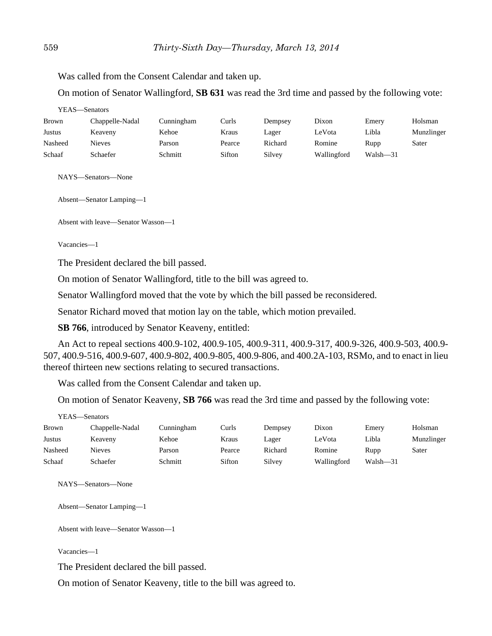Was called from the Consent Calendar and taken up.

On motion of Senator Wallingford, **SB 631** was read the 3rd time and passed by the following vote:

| YEAS—Senators |                 |            |        |         |             |              |            |  |
|---------------|-----------------|------------|--------|---------|-------------|--------------|------------|--|
| <b>Brown</b>  | Chappelle-Nadal | Cunningham | Curls  | Dempsey | Dixon       | Emery        | Holsman    |  |
| Justus        | Keaveny         | Kehoe      | Kraus  | Lager   | LeVota      | Libla        | Munzlinger |  |
| Nasheed       | Nieves          | Parson     | Pearce | Richard | Romine      | Rupp         | Sater      |  |
| Schaaf        | Schaefer        | Schmitt    | Sifton | Silvey  | Wallingford | $Walsh - 31$ |            |  |

NAYS—Senators—None

Absent—Senator Lamping—1

Absent with leave—Senator Wasson—1

Vacancies—1

The President declared the bill passed.

On motion of Senator Wallingford, title to the bill was agreed to.

Senator Wallingford moved that the vote by which the bill passed be reconsidered.

Senator Richard moved that motion lay on the table, which motion prevailed.

**SB 766**, introduced by Senator Keaveny, entitled:

An Act to repeal sections 400.9-102, 400.9-105, 400.9-311, 400.9-317, 400.9-326, 400.9-503, 400.9- 507, 400.9-516, 400.9-607, 400.9-802, 400.9-805, 400.9-806, and 400.2A-103, RSMo, and to enact in lieu thereof thirteen new sections relating to secured transactions.

Was called from the Consent Calendar and taken up.

On motion of Senator Keaveny, **SB 766** was read the 3rd time and passed by the following vote:

| Brown   | Chappelle-Nadal | Cunningham | Curls  | Dempsey | Dixon       | Emery    | Holsman    |
|---------|-----------------|------------|--------|---------|-------------|----------|------------|
| Justus  | Keaveny         | Kehoe      | Kraus  | Lager   | LeVota      | Libla    | Munzlinger |
| Nasheed | Nieves          | Parson     | Pearce | Richard | Romine      | Rupp     | Sater      |
| Schaaf  | Schaefer        | Schmitt    | Sifton | Silvey  | Wallingford | Walsh-31 |            |

NAYS—Senators—None

Absent—Senator Lamping—1

Absent with leave—Senator Wasson—1

Vacancies—1

The President declared the bill passed.

On motion of Senator Keaveny, title to the bill was agreed to.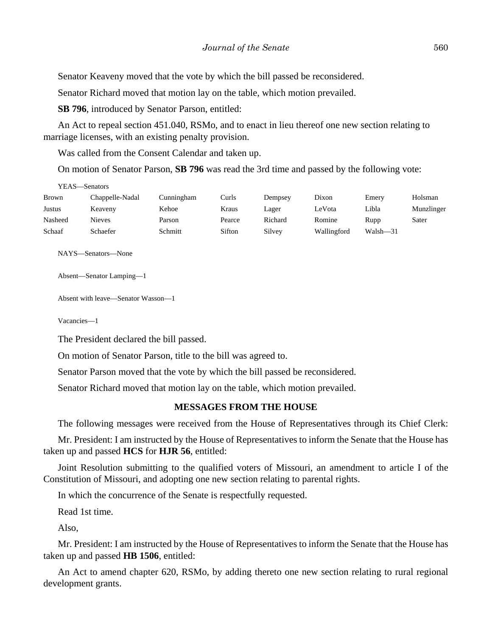Senator Keaveny moved that the vote by which the bill passed be reconsidered.

Senator Richard moved that motion lay on the table, which motion prevailed.

**SB 796**, introduced by Senator Parson, entitled:

An Act to repeal section 451.040, RSMo, and to enact in lieu thereof one new section relating to marriage licenses, with an existing penalty provision.

Was called from the Consent Calendar and taken up.

On motion of Senator Parson, **SB 796** was read the 3rd time and passed by the following vote:

| YEAS—Senators |                 |            |        |         |             |          |            |
|---------------|-----------------|------------|--------|---------|-------------|----------|------------|
| <b>Brown</b>  | Chappelle-Nadal | Cunningham | Curls  | Dempsey | Dixon       | Emery    | Holsman    |
| Justus        | Keaveny         | Kehoe      | Kraus  | Lager   | LeVota      | Libla    | Munzlinger |
| Nasheed       | <b>Nieves</b>   | Parson     | Pearce | Richard | Romine      | Rupp     | Sater      |
| Schaaf        | Schaefer        | Schmitt    | Sifton | Silvey  | Wallingford | Walsh-31 |            |

NAYS—Senators—None

```
Absent—Senator Lamping—1
```
Absent with leave—Senator Wasson—1

Vacancies—1

 $\overline{y}$ 

The President declared the bill passed.

On motion of Senator Parson, title to the bill was agreed to.

Senator Parson moved that the vote by which the bill passed be reconsidered.

Senator Richard moved that motion lay on the table, which motion prevailed.

# **MESSAGES FROM THE HOUSE**

The following messages were received from the House of Representatives through its Chief Clerk:

Mr. President: I am instructed by the House of Representatives to inform the Senate that the House has taken up and passed **HCS** for **HJR 56**, entitled:

Joint Resolution submitting to the qualified voters of Missouri, an amendment to article I of the Constitution of Missouri, and adopting one new section relating to parental rights.

In which the concurrence of the Senate is respectfully requested.

Read 1st time.

Also,

Mr. President: I am instructed by the House of Representatives to inform the Senate that the House has taken up and passed **HB 1506**, entitled:

An Act to amend chapter 620, RSMo, by adding thereto one new section relating to rural regional development grants.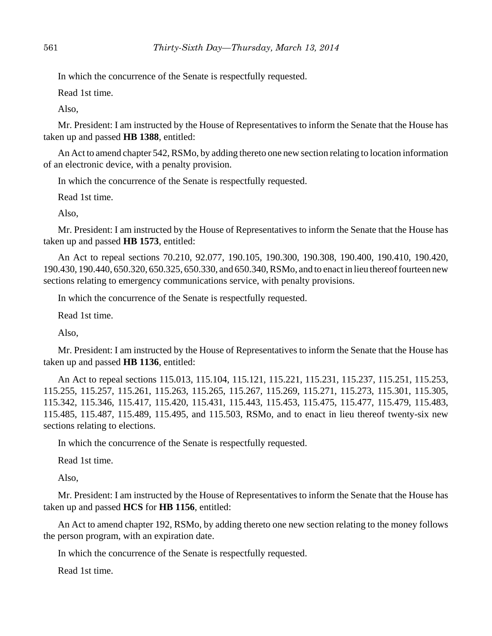In which the concurrence of the Senate is respectfully requested.

Read 1st time.

Also,

Mr. President: I am instructed by the House of Representatives to inform the Senate that the House has taken up and passed **HB 1388**, entitled:

An Act to amend chapter 542, RSMo, by adding thereto one new section relating to location information of an electronic device, with a penalty provision.

In which the concurrence of the Senate is respectfully requested.

Read 1st time.

Also,

Mr. President: I am instructed by the House of Representatives to inform the Senate that the House has taken up and passed **HB 1573**, entitled:

An Act to repeal sections 70.210, 92.077, 190.105, 190.300, 190.308, 190.400, 190.410, 190.420, 190.430, 190.440, 650.320, 650.325, 650.330, and 650.340, RSMo, and to enact in lieu thereof fourteen new sections relating to emergency communications service, with penalty provisions.

In which the concurrence of the Senate is respectfully requested.

Read 1st time.

Also,

Mr. President: I am instructed by the House of Representatives to inform the Senate that the House has taken up and passed **HB 1136**, entitled:

An Act to repeal sections 115.013, 115.104, 115.121, 115.221, 115.231, 115.237, 115.251, 115.253, 115.255, 115.257, 115.261, 115.263, 115.265, 115.267, 115.269, 115.271, 115.273, 115.301, 115.305, 115.342, 115.346, 115.417, 115.420, 115.431, 115.443, 115.453, 115.475, 115.477, 115.479, 115.483, 115.485, 115.487, 115.489, 115.495, and 115.503, RSMo, and to enact in lieu thereof twenty-six new sections relating to elections.

In which the concurrence of the Senate is respectfully requested.

Read 1st time.

Also,

Mr. President: I am instructed by the House of Representatives to inform the Senate that the House has taken up and passed **HCS** for **HB 1156**, entitled:

An Act to amend chapter 192, RSMo, by adding thereto one new section relating to the money follows the person program, with an expiration date.

In which the concurrence of the Senate is respectfully requested.

Read 1st time.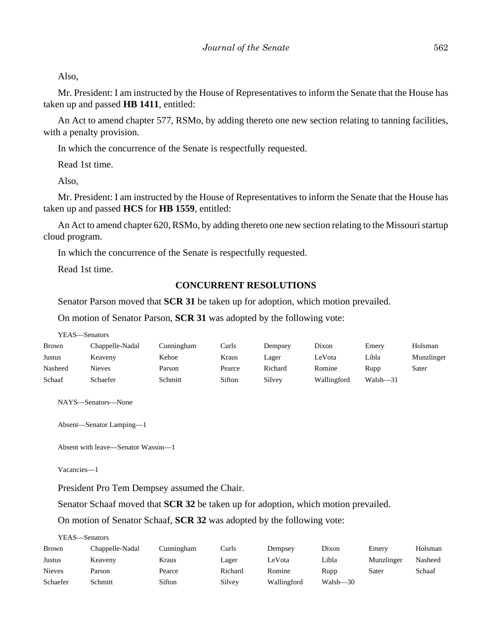Also,

Mr. President: I am instructed by the House of Representatives to inform the Senate that the House has taken up and passed **HB 1411**, entitled:

An Act to amend chapter 577, RSMo, by adding thereto one new section relating to tanning facilities, with a penalty provision.

In which the concurrence of the Senate is respectfully requested.

Read 1st time.

Also,

Mr. President: I am instructed by the House of Representatives to inform the Senate that the House has taken up and passed **HCS** for **HB 1559**, entitled:

An Act to amend chapter 620, RSMo, by adding thereto one new section relating to the Missouri startup cloud program.

In which the concurrence of the Senate is respectfully requested.

Read 1st time.

#### **CONCURRENT RESOLUTIONS**

Senator Parson moved that **SCR 31** be taken up for adoption, which motion prevailed.

On motion of Senator Parson, **SCR 31** was adopted by the following vote:

YEAS—Senators

| <b>Brown</b> | Chappelle-Nadal | Cunningham | Curls  | Dempsey | Dixon       | Emery    | Holsman    |
|--------------|-----------------|------------|--------|---------|-------------|----------|------------|
| Justus       | Keaveny         | Kehoe      | Kraus  | Lager   | LeVota      | Libla    | Munzlinger |
| Nasheed      | <b>Nieves</b>   | Parson     | Pearce | Richard | Romine      | Rupp     | Sater      |
| Schaaf       | Schaefer        | Schmitt    | Sifton | Silvey  | Wallingford | Walsh—31 |            |

NAYS—Senators—None

Absent—Senator Lamping—1

Absent with leave—Senator Wasson—1

Vacancies—1

President Pro Tem Dempsey assumed the Chair.

Senator Schaaf moved that **SCR 32** be taken up for adoption, which motion prevailed.

On motion of Senator Schaaf, **SCR 32** was adopted by the following vote:

| <b>Brown</b>  | Chappelle-Nadal | Cunningham | Curls   | Dempsey     | Dixon    | Emery      | Holsman |
|---------------|-----------------|------------|---------|-------------|----------|------------|---------|
| Justus        | Keaveny         | Kraus      | Lager   | LeVota      | Libla    | Munzlinger | Nasheed |
| <b>Nieves</b> | Parson          | Pearce     | Richard | Romine      | Rupp     | Sater      | Schaaf  |
| Schaefer      | Schmitt         | Sifton     | Silvey  | Wallingford | Walsh-30 |            |         |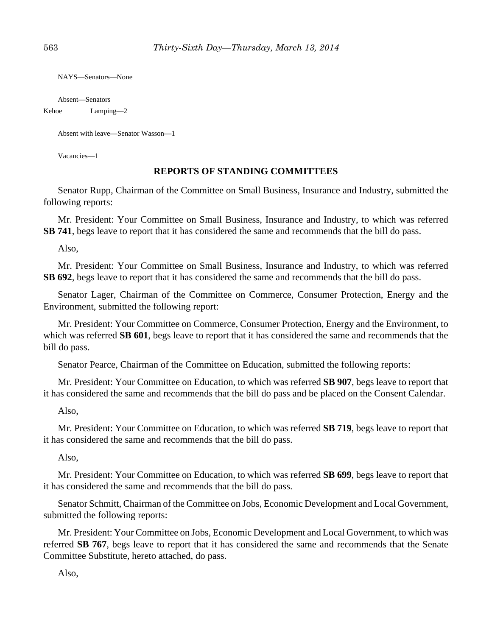NAYS—Senators—None

Absent—Senators

#### Kehoe Lamping—2

Absent with leave—Senator Wasson—1

Vacancies—1

#### **REPORTS OF STANDING COMMITTEES**

Senator Rupp, Chairman of the Committee on Small Business, Insurance and Industry, submitted the following reports:

Mr. President: Your Committee on Small Business, Insurance and Industry, to which was referred **SB 741**, begs leave to report that it has considered the same and recommends that the bill do pass.

Also,

Mr. President: Your Committee on Small Business, Insurance and Industry, to which was referred **SB 692**, begs leave to report that it has considered the same and recommends that the bill do pass.

Senator Lager, Chairman of the Committee on Commerce, Consumer Protection, Energy and the Environment, submitted the following report:

Mr. President: Your Committee on Commerce, Consumer Protection, Energy and the Environment, to which was referred **SB 601**, begs leave to report that it has considered the same and recommends that the bill do pass.

Senator Pearce, Chairman of the Committee on Education, submitted the following reports:

Mr. President: Your Committee on Education, to which was referred **SB 907**, begs leave to report that it has considered the same and recommends that the bill do pass and be placed on the Consent Calendar.

Also,

Mr. President: Your Committee on Education, to which was referred **SB 719**, begs leave to report that it has considered the same and recommends that the bill do pass.

Also,

Mr. President: Your Committee on Education, to which was referred **SB 699**, begs leave to report that it has considered the same and recommends that the bill do pass.

Senator Schmitt, Chairman of the Committee on Jobs, Economic Development and Local Government, submitted the following reports:

Mr. President: Your Committee on Jobs, Economic Development and Local Government, to which was referred **SB 767**, begs leave to report that it has considered the same and recommends that the Senate Committee Substitute, hereto attached, do pass.

Also,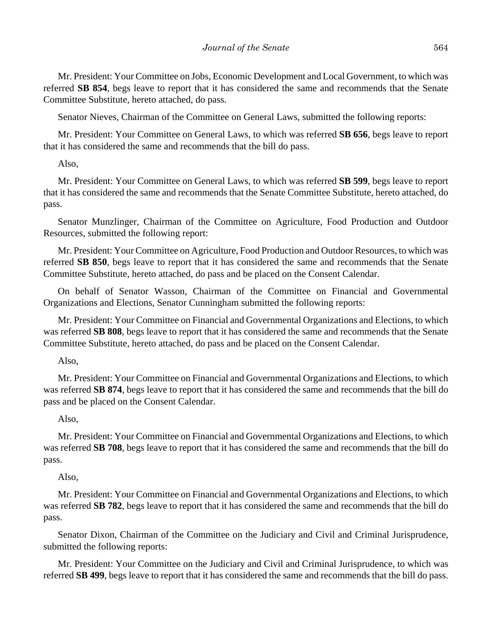Mr. President: Your Committee on Jobs, Economic Development and Local Government, to which was referred **SB 854**, begs leave to report that it has considered the same and recommends that the Senate Committee Substitute, hereto attached, do pass.

Senator Nieves, Chairman of the Committee on General Laws, submitted the following reports:

Mr. President: Your Committee on General Laws, to which was referred **SB 656**, begs leave to report that it has considered the same and recommends that the bill do pass.

Also,

Mr. President: Your Committee on General Laws, to which was referred **SB 599**, begs leave to report that it has considered the same and recommends that the Senate Committee Substitute, hereto attached, do pass.

Senator Munzlinger, Chairman of the Committee on Agriculture, Food Production and Outdoor Resources, submitted the following report:

Mr. President: Your Committee on Agriculture, Food Production and Outdoor Resources, to which was referred **SB 850**, begs leave to report that it has considered the same and recommends that the Senate Committee Substitute, hereto attached, do pass and be placed on the Consent Calendar.

On behalf of Senator Wasson, Chairman of the Committee on Financial and Governmental Organizations and Elections, Senator Cunningham submitted the following reports:

Mr. President: Your Committee on Financial and Governmental Organizations and Elections, to which was referred **SB 808**, begs leave to report that it has considered the same and recommends that the Senate Committee Substitute, hereto attached, do pass and be placed on the Consent Calendar.

Also,

Mr. President: Your Committee on Financial and Governmental Organizations and Elections, to which was referred **SB 874**, begs leave to report that it has considered the same and recommends that the bill do pass and be placed on the Consent Calendar.

Also,

Mr. President: Your Committee on Financial and Governmental Organizations and Elections, to which was referred **SB 708**, begs leave to report that it has considered the same and recommends that the bill do pass.

Also,

Mr. President: Your Committee on Financial and Governmental Organizations and Elections, to which was referred **SB 782**, begs leave to report that it has considered the same and recommends that the bill do pass.

Senator Dixon, Chairman of the Committee on the Judiciary and Civil and Criminal Jurisprudence, submitted the following reports:

Mr. President: Your Committee on the Judiciary and Civil and Criminal Jurisprudence, to which was referred **SB 499**, begs leave to report that it has considered the same and recommends that the bill do pass.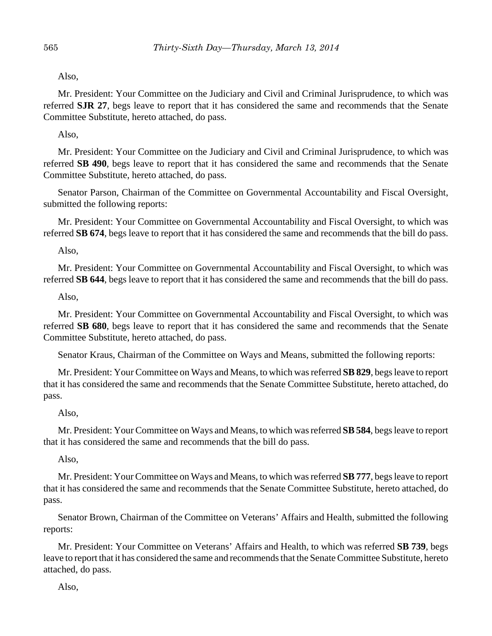Also,

Mr. President: Your Committee on the Judiciary and Civil and Criminal Jurisprudence, to which was referred **SJR 27**, begs leave to report that it has considered the same and recommends that the Senate Committee Substitute, hereto attached, do pass.

Also,

Mr. President: Your Committee on the Judiciary and Civil and Criminal Jurisprudence, to which was referred **SB 490**, begs leave to report that it has considered the same and recommends that the Senate Committee Substitute, hereto attached, do pass.

Senator Parson, Chairman of the Committee on Governmental Accountability and Fiscal Oversight, submitted the following reports:

Mr. President: Your Committee on Governmental Accountability and Fiscal Oversight, to which was referred **SB 674**, begs leave to report that it has considered the same and recommends that the bill do pass.

Also,

Mr. President: Your Committee on Governmental Accountability and Fiscal Oversight, to which was referred **SB 644**, begs leave to report that it has considered the same and recommends that the bill do pass.

Also,

Mr. President: Your Committee on Governmental Accountability and Fiscal Oversight, to which was referred **SB 680**, begs leave to report that it has considered the same and recommends that the Senate Committee Substitute, hereto attached, do pass.

Senator Kraus, Chairman of the Committee on Ways and Means, submitted the following reports:

Mr. President: Your Committee on Ways and Means, to which was referred **SB 829**, begs leave to report that it has considered the same and recommends that the Senate Committee Substitute, hereto attached, do pass.

#### Also,

Mr. President: Your Committee on Ways and Means, to which was referred **SB 584**, begs leave to report that it has considered the same and recommends that the bill do pass.

#### Also,

Mr. President: Your Committee on Ways and Means, to which was referred **SB 777**, begs leave to report that it has considered the same and recommends that the Senate Committee Substitute, hereto attached, do pass.

Senator Brown, Chairman of the Committee on Veterans' Affairs and Health, submitted the following reports:

Mr. President: Your Committee on Veterans' Affairs and Health, to which was referred **SB 739**, begs leave to report that it has considered the same and recommends that the Senate Committee Substitute, hereto attached, do pass.

Also,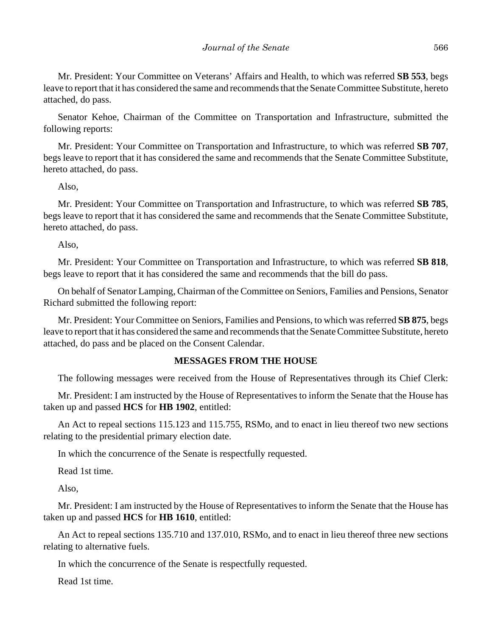Mr. President: Your Committee on Veterans' Affairs and Health, to which was referred **SB 553**, begs leave to report that it has considered the same and recommends that the Senate Committee Substitute, hereto attached, do pass.

Senator Kehoe, Chairman of the Committee on Transportation and Infrastructure, submitted the following reports:

Mr. President: Your Committee on Transportation and Infrastructure, to which was referred **SB 707**, begs leave to report that it has considered the same and recommends that the Senate Committee Substitute, hereto attached, do pass.

Also,

Mr. President: Your Committee on Transportation and Infrastructure, to which was referred **SB 785**, begs leave to report that it has considered the same and recommends that the Senate Committee Substitute, hereto attached, do pass.

Also,

Mr. President: Your Committee on Transportation and Infrastructure, to which was referred **SB 818**, begs leave to report that it has considered the same and recommends that the bill do pass.

On behalf of Senator Lamping, Chairman of the Committee on Seniors, Families and Pensions, Senator Richard submitted the following report:

Mr. President: Your Committee on Seniors, Families and Pensions, to which was referred **SB 875**, begs leave to report that it has considered the same and recommends that the Senate Committee Substitute, hereto attached, do pass and be placed on the Consent Calendar.

#### **MESSAGES FROM THE HOUSE**

The following messages were received from the House of Representatives through its Chief Clerk:

Mr. President: I am instructed by the House of Representatives to inform the Senate that the House has taken up and passed **HCS** for **HB 1902**, entitled:

An Act to repeal sections 115.123 and 115.755, RSMo, and to enact in lieu thereof two new sections relating to the presidential primary election date.

In which the concurrence of the Senate is respectfully requested.

Read 1st time.

Also,

Mr. President: I am instructed by the House of Representatives to inform the Senate that the House has taken up and passed **HCS** for **HB 1610**, entitled:

An Act to repeal sections 135.710 and 137.010, RSMo, and to enact in lieu thereof three new sections relating to alternative fuels.

In which the concurrence of the Senate is respectfully requested.

Read 1st time.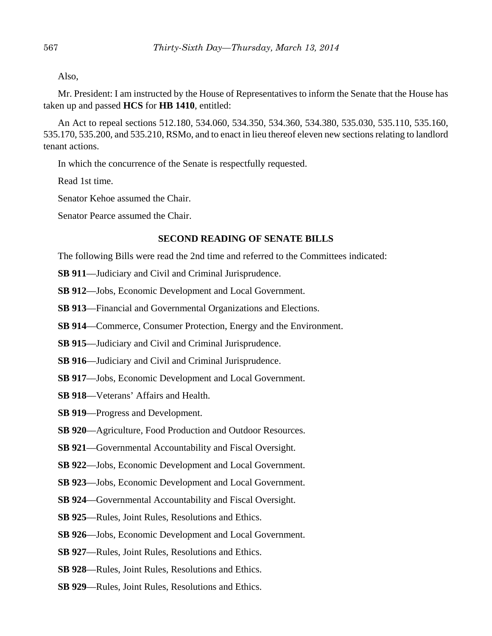Also,

Mr. President: I am instructed by the House of Representatives to inform the Senate that the House has taken up and passed **HCS** for **HB 1410**, entitled:

An Act to repeal sections 512.180, 534.060, 534.350, 534.360, 534.380, 535.030, 535.110, 535.160, 535.170, 535.200, and 535.210, RSMo, and to enact in lieu thereof eleven new sections relating to landlord tenant actions.

In which the concurrence of the Senate is respectfully requested.

Read 1st time.

Senator Kehoe assumed the Chair.

Senator Pearce assumed the Chair.

## **SECOND READING OF SENATE BILLS**

The following Bills were read the 2nd time and referred to the Committees indicated:

- **SB 911**––Judiciary and Civil and Criminal Jurisprudence.
- **SB 912**––Jobs, Economic Development and Local Government.
- **SB 913**––Financial and Governmental Organizations and Elections.
- **SB 914—Commerce, Consumer Protection, Energy and the Environment.**
- **SB 915**––Judiciary and Civil and Criminal Jurisprudence.
- **SB 916**—Judiciary and Civil and Criminal Jurisprudence.
- **SB 917**––Jobs, Economic Development and Local Government.
- **SB 918**––Veterans' Affairs and Health.
- **SB 919**––Progress and Development.
- **SB 920**––Agriculture, Food Production and Outdoor Resources.
- **SB 921**—Governmental Accountability and Fiscal Oversight.
- **SB 922**––Jobs, Economic Development and Local Government.
- **SB 923**––Jobs, Economic Development and Local Government.
- **SB 924**––Governmental Accountability and Fiscal Oversight.
- **SB 925**––Rules, Joint Rules, Resolutions and Ethics.
- **SB 926**––Jobs, Economic Development and Local Government.
- **SB 927**––Rules, Joint Rules, Resolutions and Ethics.
- **SB 928**––Rules, Joint Rules, Resolutions and Ethics.
- **SB 929**––Rules, Joint Rules, Resolutions and Ethics.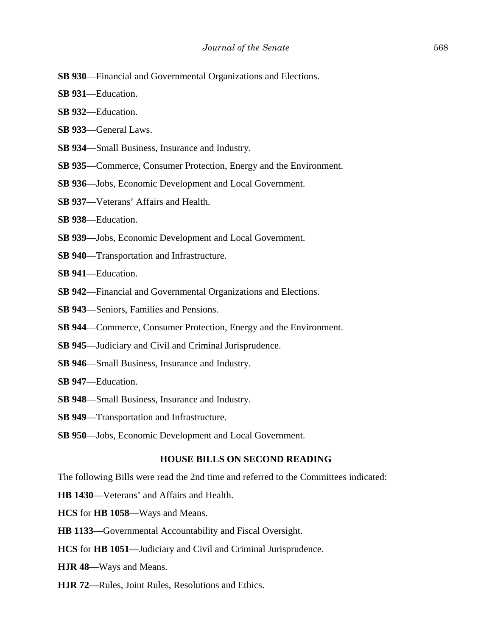- **SB 930**––Financial and Governmental Organizations and Elections.
- **SB 931**––Education.
- **SB 932**––Education.
- **SB 933**––General Laws.
- **SB 934**––Small Business, Insurance and Industry.
- **SB 935**––Commerce, Consumer Protection, Energy and the Environment.
- **SB 936**––Jobs, Economic Development and Local Government.
- **SB 937**––Veterans' Affairs and Health.
- **SB 938**––Education.
- **SB 939**––Jobs, Economic Development and Local Government.
- **SB 940**––Transportation and Infrastructure.
- **SB 941**––Education.
- **SB 942**––Financial and Governmental Organizations and Elections.
- **SB 943**––Seniors, Families and Pensions.
- **SB 944—Commerce, Consumer Protection, Energy and the Environment.**
- **SB 945**––Judiciary and Civil and Criminal Jurisprudence.
- **SB 946**––Small Business, Insurance and Industry.
- **SB 947**––Education.
- **SB 948**––Small Business, Insurance and Industry.
- **SB 949**––Transportation and Infrastructure.
- **SB 950**––Jobs, Economic Development and Local Government.

#### **HOUSE BILLS ON SECOND READING**

The following Bills were read the 2nd time and referred to the Committees indicated:

- **HB 1430**—Veterans' and Affairs and Health.
- **HCS** for **HB 1058**—Ways and Means.
- **HB 1133**—Governmental Accountability and Fiscal Oversight.
- **HCS** for **HB 1051**—Judiciary and Civil and Criminal Jurisprudence.
- **HJR 48**—Ways and Means.
- **HJR 72**—Rules, Joint Rules, Resolutions and Ethics.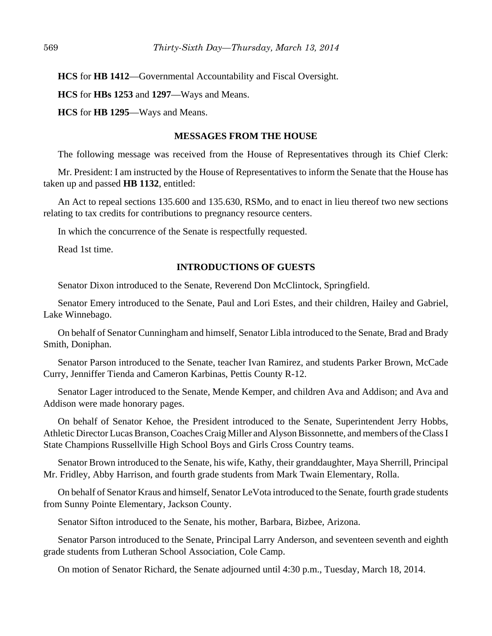**HCS** for **HB 1412**—Governmental Accountability and Fiscal Oversight.

**HCS** for **HBs 1253** and **1297**—Ways and Means.

**HCS** for **HB 1295**—Ways and Means.

#### **MESSAGES FROM THE HOUSE**

The following message was received from the House of Representatives through its Chief Clerk:

Mr. President: I am instructed by the House of Representatives to inform the Senate that the House has taken up and passed **HB 1132**, entitled:

An Act to repeal sections 135.600 and 135.630, RSMo, and to enact in lieu thereof two new sections relating to tax credits for contributions to pregnancy resource centers.

In which the concurrence of the Senate is respectfully requested.

Read 1st time.

# **INTRODUCTIONS OF GUESTS**

Senator Dixon introduced to the Senate, Reverend Don McClintock, Springfield.

Senator Emery introduced to the Senate, Paul and Lori Estes, and their children, Hailey and Gabriel, Lake Winnebago.

On behalf of Senator Cunningham and himself, Senator Libla introduced to the Senate, Brad and Brady Smith, Doniphan.

Senator Parson introduced to the Senate, teacher Ivan Ramirez, and students Parker Brown, McCade Curry, Jenniffer Tienda and Cameron Karbinas, Pettis County R-12.

Senator Lager introduced to the Senate, Mende Kemper, and children Ava and Addison; and Ava and Addison were made honorary pages.

On behalf of Senator Kehoe, the President introduced to the Senate, Superintendent Jerry Hobbs, Athletic Director Lucas Branson, Coaches Craig Miller and Alyson Bissonnette, and members of the Class I State Champions Russellville High School Boys and Girls Cross Country teams.

Senator Brown introduced to the Senate, his wife, Kathy, their granddaughter, Maya Sherrill, Principal Mr. Fridley, Abby Harrison, and fourth grade students from Mark Twain Elementary, Rolla.

On behalf of Senator Kraus and himself, Senator LeVota introduced to the Senate, fourth grade students from Sunny Pointe Elementary, Jackson County.

Senator Sifton introduced to the Senate, his mother, Barbara, Bizbee, Arizona.

Senator Parson introduced to the Senate, Principal Larry Anderson, and seventeen seventh and eighth grade students from Lutheran School Association, Cole Camp.

On motion of Senator Richard, the Senate adjourned until 4:30 p.m., Tuesday, March 18, 2014.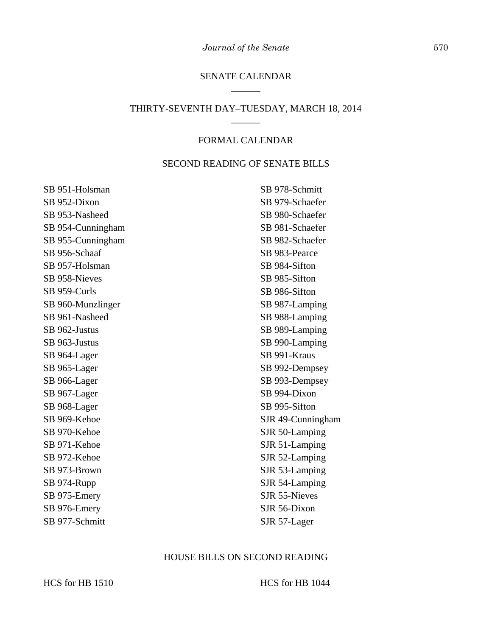## SENATE CALENDAR \_\_\_\_\_\_

#### THIRTY-SEVENTH DAY–TUESDAY, MARCH 18, 2014 \_\_\_\_\_\_

#### FORMAL CALENDAR

#### SECOND READING OF SENATE BILLS

SB 951-Holsman SB 952-Dixon SB 953-Nasheed SB 954-Cunningham SB 955-Cunningham SB 956-Schaaf SB 957-Holsman SB 958-Nieves SB 959-Curls SB 960-Munzlinger SB 961-Nasheed SB 962-Justus SB 963-Justus SB 964-Lager SB 965-Lager SB 966-Lager SB 967-Lager SB 968-Lager SB 969-Kehoe SB 970-Kehoe SB 971-Kehoe SB 972-Kehoe SB 973-Brown SB 974-Rupp SB 975-Emery SB 976-Emery SB 977-Schmitt

SB 978-Schmitt SB 979-Schaefer SB 980-Schaefer SB 981-Schaefer SB 982-Schaefer SB 983-Pearce SB 984-Sifton SB 985-Sifton SB 986-Sifton SB 987-Lamping SB 988-Lamping SB 989-Lamping SB 990-Lamping SB 991-Kraus SB 992-Dempsey SB 993-Dempsey SB 994-Dixon SB 995-Sifton SJR 49-Cunningham SJR 50-Lamping SJR 51-Lamping SJR 52-Lamping SJR 53-Lamping SJR 54-Lamping SJR 55-Nieves SJR 56-Dixon SJR 57-Lager

#### HOUSE BILLS ON SECOND READING

HCS for HB 1510 HCS for HB 1044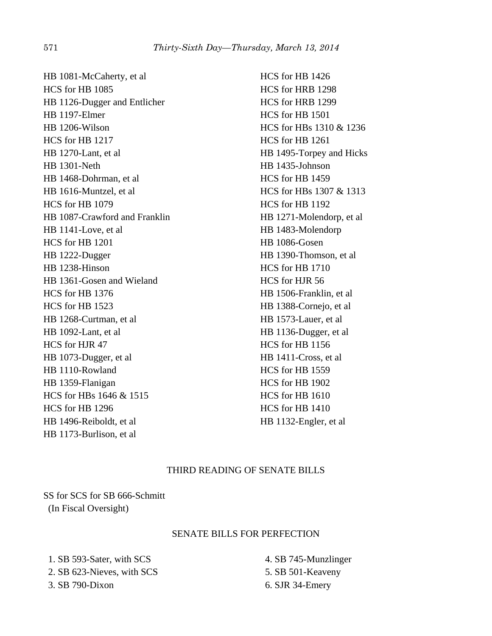HB 1081-McCaherty, et al HCS for HB 1085 HB 1126-Dugger and Entlicher HB 1197-Elmer HB 1206-Wilson HCS for HB 1217 HB 1270-Lant, et al HB 1301-Neth HB 1468-Dohrman, et al HB 1616-Muntzel, et al HCS for HB 1079 HB 1087-Crawford and Franklin HB 1141-Love, et al HCS for HB 1201 HB 1222-Dugger HB 1238-Hinson HB 1361-Gosen and Wieland HCS for HB 1376 HCS for HB 1523 HB 1268-Curtman, et al HB 1092-Lant, et al HCS for HJR 47 HB 1073-Dugger, et al HB 1110-Rowland HB 1359-Flanigan HCS for HBs 1646 & 1515 HCS for HB 1296 HB 1496-Reiboldt, et al HB 1173-Burlison, et al

HCS for HB 1426 HCS for HRB 1298 HCS for HRB 1299 HCS for HB 1501 HCS for HBs 1310 & 1236 HCS for HB 1261 HB 1495-Torpey and Hicks HB 1435-Johnson HCS for HB 1459 HCS for HBs 1307 & 1313 HCS for HB 1192 HB 1271-Molendorp, et al HB 1483-Molendorp HB 1086-Gosen HB 1390-Thomson, et al HCS for HB 1710 HCS for HJR 56 HB 1506-Franklin, et al HB 1388-Cornejo, et al HB 1573-Lauer, et al HB 1136-Dugger, et al HCS for HB 1156 HB 1411-Cross, et al HCS for HB 1559 HCS for HB 1902 HCS for HB 1610 HCS for HB 1410 HB 1132-Engler, et al

# THIRD READING OF SENATE BILLS

SS for SCS for SB 666-Schmitt (In Fiscal Oversight)

# SENATE BILLS FOR PERFECTION

 1. SB 593-Sater, with SCS 2. SB 623-Nieves, with SCS 3. SB 790-Dixon

 4. SB 745-Munzlinger 5. SB 501-Keaveny 6. SJR 34-Emery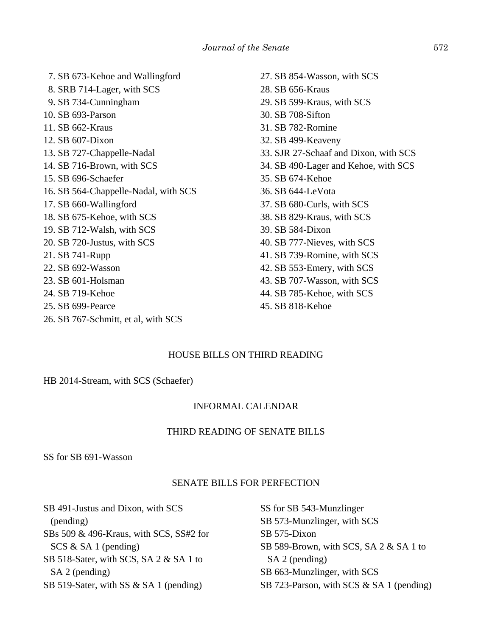7. SB 673-Kehoe and Wallingford 8. SRB 714-Lager, with SCS 9. SB 734-Cunningham 10. SB 693-Parson 11. SB 662-Kraus 12. SB 607-Dixon 13. SB 727-Chappelle-Nadal 14. SB 716-Brown, with SCS 15. SB 696-Schaefer 16. SB 564-Chappelle-Nadal, with SCS 17. SB 660-Wallingford 18. SB 675-Kehoe, with SCS 19. SB 712-Walsh, with SCS 20. SB 720-Justus, with SCS 21. SB 741-Rupp 22. SB 692-Wasson 23. SB 601-Holsman 24. SB 719-Kehoe 25. SB 699-Pearce 26. SB 767-Schmitt, et al, with SCS

27. SB 854-Wasson, with SCS 28. SB 656-Kraus 29. SB 599-Kraus, with SCS 30. SB 708-Sifton 31. SB 782-Romine 32. SB 499-Keaveny 33. SJR 27-Schaaf and Dixon, with SCS 34. SB 490-Lager and Kehoe, with SCS 35. SB 674-Kehoe 36. SB 644-LeVota 37. SB 680-Curls, with SCS 38. SB 829-Kraus, with SCS 39. SB 584-Dixon 40. SB 777-Nieves, with SCS 41. SB 739-Romine, with SCS 42. SB 553-Emery, with SCS 43. SB 707-Wasson, with SCS 44. SB 785-Kehoe, with SCS 45. SB 818-Kehoe

# HOUSE BILLS ON THIRD READING

HB 2014-Stream, with SCS (Schaefer)

# INFORMAL CALENDAR

# THIRD READING OF SENATE BILLS

SS for SB 691-Wasson

# SENATE BILLS FOR PERFECTION

SB 491-Justus and Dixon, with SCS (pending) SBs 509 & 496-Kraus, with SCS, SS#2 for SCS & SA 1 (pending) SB 518-Sater, with SCS, SA 2 & SA 1 to SA 2 (pending) SB 519-Sater, with SS & SA 1 (pending)

SS for SB 543-Munzlinger SB 573-Munzlinger, with SCS SB 575-Dixon SB 589-Brown, with SCS, SA 2 & SA 1 to SA 2 (pending) SB 663-Munzlinger, with SCS SB 723-Parson, with SCS & SA 1 (pending)